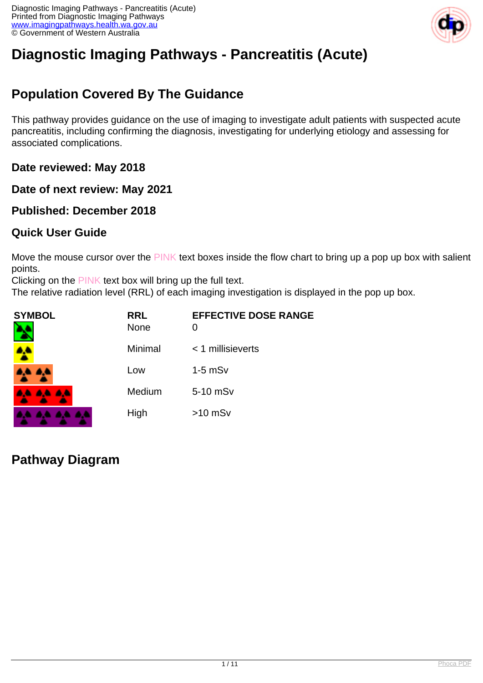

# **Diagnostic Imaging Pathways - Pancreatitis (Acute)**

# **Population Covered By The Guidance**

This pathway provides guidance on the use of imaging to investigate adult patients with suspected acute pancreatitis, including confirming the diagnosis, investigating for underlying etiology and assessing for associated complications.

**Date reviewed: May 2018**

**Date of next review: May 2021**

**Published: December 2018**

#### **Quick User Guide**

Move the mouse cursor over the PINK text boxes inside the flow chart to bring up a pop up box with salient points.

Clicking on the PINK text box will bring up the full text.

The relative radiation level (RRL) of each imaging investigation is displayed in the pop up box.

| <b>SYMBOL</b>   | <b>RRL</b><br><b>None</b> | <b>EFFECTIVE DOSE RANGE</b><br>O |
|-----------------|---------------------------|----------------------------------|
|                 | Minimal                   | $<$ 1 millisieverts              |
| <b>AA AA</b>    | Low                       | $1-5$ mS $v$                     |
| <b>AA AA AA</b> | Medium                    | 5-10 mSv                         |
| .               | High                      | $>10$ mSv                        |

### **Pathway Diagram**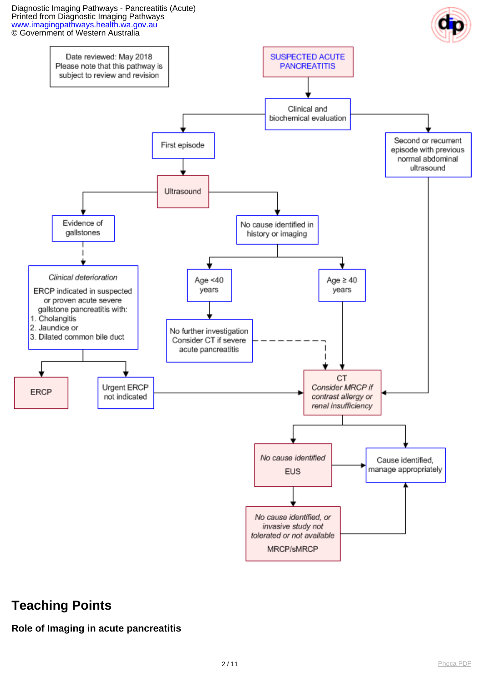Diagnostic Imaging Pathways - Pancreatitis (Acute) Printed from Diagnostic Imaging Pathways [www.imagingpathways.health.wa.gov.au](http://www.imagingpathways.health.wa.gov.au/) © Government of Western Australia



### **Teaching Points**

#### **Role of Imaging in acute pancreatitis**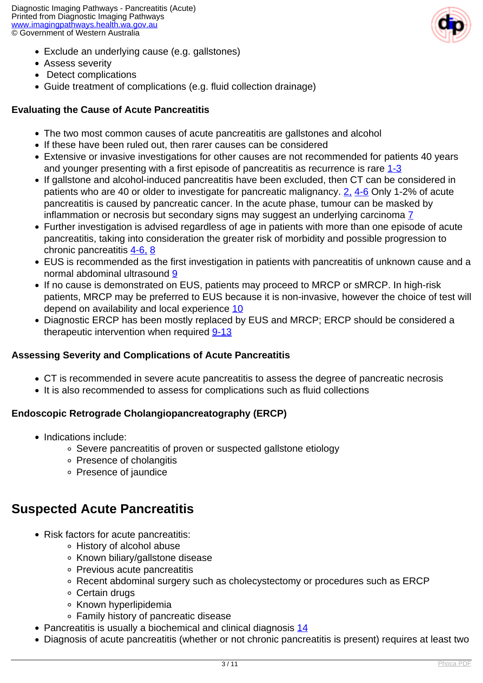Diagnostic Imaging Pathways - Pancreatitis (Acute) Printed from Diagnostic Imaging Pathways [www.imagingpathways.health.wa.gov.au](http://www.imagingpathways.health.wa.gov.au/) © Government of Western Australia

- Exclude an underlying cause (e.g. gallstones)
- Assess severity
- Detect complications
- Guide treatment of complications (e.g. fluid collection drainage)

#### **Evaluating the Cause of Acute Pancreatitis**

- The two most common causes of acute pancreatitis are gallstones and alcohol
- If these have been ruled out, then rarer causes can be considered
- Extensive or invasive investigations for other causes are not recommended for patients 40 years and younger presenting with a first episode of pancreatitis as recurrence is rare [1-3](index.php?option=com_content&view=article&id=53&tab=references#1)
- If gallstone and alcohol-induced pancreatitis have been excluded, then CT can be considered in patients who are 40 or older to investigate for pancreatic malignancy. [2,](index.php?option=com_content&view=article&id=53&tab=references#2) [4-6](index.php?option=com_content&view=article&id=53&tab=references#4) Only 1-2% of acute pancreatitis is caused by pancreatic cancer. In the acute phase, tumour can be masked by inflammation or necrosis but secondary signs may suggest an underlying carcinoma  $\overline{7}$
- Further investigation is advised regardless of age in patients with more than one episode of acute pancreatitis, taking into consideration the greater risk of morbidity and possible progression to chronic pancreatitis [4-6,](index.php?option=com_content&view=article&id=53&tab=references#4) [8](index.php?option=com_content&view=article&id=53&tab=references#8)
- EUS is recommended as the first investigation in patients with pancreatitis of unknown cause and a normal abdominal ultrasound [9](index.php?option=com_content&view=article&id=53&tab=references#9)
- If no cause is demonstrated on EUS, patients may proceed to MRCP or sMRCP. In high-risk patients, MRCP may be preferred to EUS because it is non-invasive, however the choice of test will depend on availability and local experience [10](index.php?option=com_content&view=article&id=53&tab=references#10)
- Diagnostic ERCP has been mostly replaced by EUS and MRCP; ERCP should be considered a therapeutic intervention when required [9-13](index.php?option=com_content&view=article&id=53&tab=references#9)

#### **Assessing Severity and Complications of Acute Pancreatitis**

- CT is recommended in severe acute pancreatitis to assess the degree of pancreatic necrosis
- It is also recommended to assess for complications such as fluid collections

#### **Endoscopic Retrograde Cholangiopancreatography (ERCP)**

- Indications include:
	- Severe pancreatitis of proven or suspected gallstone etiology
	- Presence of cholangitis
	- Presence of jaundice

# **Suspected Acute Pancreatitis**

- Risk factors for acute pancreatitis:
	- History of alcohol abuse
	- Known biliary/gallstone disease
	- Previous acute pancreatitis
	- Recent abdominal surgery such as cholecystectomy or procedures such as ERCP
	- Certain drugs
	- **Known hyperlipidemia**
	- Family history of pancreatic disease
- Pancreatitis is usually a biochemical and clinical diagnosis [14](index.php?option=com_content&view=article&id=53&tab=references#14)
- Diagnosis of acute pancreatitis (whether or not chronic pancreatitis is present) requires at least two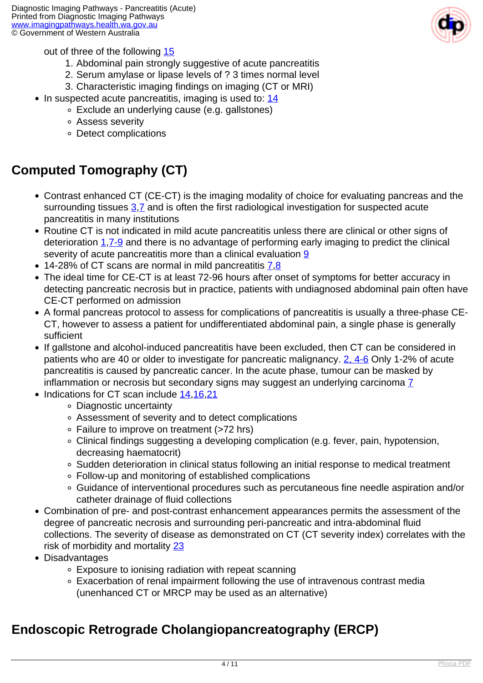

out of three of the following [15](index.php?option=com_content&view=article&id=53&tab=references#15)

- 1. Abdominal pain strongly suggestive of acute pancreatitis
- 2. Serum amylase or lipase levels of ? 3 times normal level
- 3. Characteristic imaging findings on imaging (CT or MRI)
- $\bullet$  In suspected acute pancreatitis, imaging is used to:  $14$ 
	- Exclude an underlying cause (e.g. gallstones)
	- Assess severity
	- Detect complications

### **Computed Tomography (CT)**

- Contrast enhanced CT (CE-CT) is the imaging modality of choice for evaluating pancreas and the surrounding tissues  $3.7$  $3.7$  $3.7$  and is often the first radiological investigation for suspected acute pancreatitis in many institutions
- Routine CT is not indicated in mild acute pancreatitis unless there are clinical or other signs of deterioration  $1.7-9$  and there is no advantage of performing early imaging to predict the clinical severity of acute pancreatitis more than a clinical evaluation [9](index.php?option=com_content&view=article&id=53&tab=references#9)
- 14-28% of CT scans are normal in mild pancreatitis [7](index.php?option=com_content&view=article&id=53&tab=references#7).[8](index.php?option=com_content&view=article&id=53&tab=references#8)
- The ideal time for CE-CT is at least 72-96 hours after onset of symptoms for better accuracy in detecting pancreatic necrosis but in practice, patients with undiagnosed abdominal pain often have CE-CT performed on admission
- A formal pancreas protocol to assess for complications of pancreatitis is usually a three-phase CE-CT, however to assess a patient for undifferentiated abdominal pain, a single phase is generally sufficient
- If gallstone and alcohol-induced pancreatitis have been excluded, then CT can be considered in patients who are 40 or older to investigate for pancreatic malignancy. [2, 4-6](index.php?option=com_content&view=article&id=53&tab=references#2) Only 1-2% of acute pancreatitis is caused by pancreatic cancer. In the acute phase, tumour can be masked by inflammation or necrosis but secondary signs may suggest an underlying carcinoma Z
- Indications for CT scan include [14](index.php?option=com_content&view=article&id=53&tab=references#14)[,16,](index.php?option=com_content&view=article&id=53&tab=references#16)[21](index.php?option=com_content&view=article&id=53&tab=references#21)
	- Diagnostic uncertainty
	- Assessment of severity and to detect complications
	- Failure to improve on treatment (>72 hrs)
	- Clinical findings suggesting a developing complication (e.g. fever, pain, hypotension, decreasing haematocrit)
	- Sudden deterioration in clinical status following an initial response to medical treatment
	- Follow-up and monitoring of established complications
	- Guidance of interventional procedures such as percutaneous fine needle aspiration and/or catheter drainage of fluid collections
- Combination of pre- and post-contrast enhancement appearances permits the assessment of the degree of pancreatic necrosis and surrounding peri-pancreatic and intra-abdominal fluid collections. The severity of disease as demonstrated on CT (CT severity index) correlates with the risk of morbidity and mortality [23](index.php?option=com_content&view=article&id=53&tab=references#23)
- Disadvantages
	- Exposure to ionising radiation with repeat scanning
	- Exacerbation of renal impairment following the use of intravenous contrast media (unenhanced CT or MRCP may be used as an alternative)

### **Endoscopic Retrograde Cholangiopancreatography (ERCP)**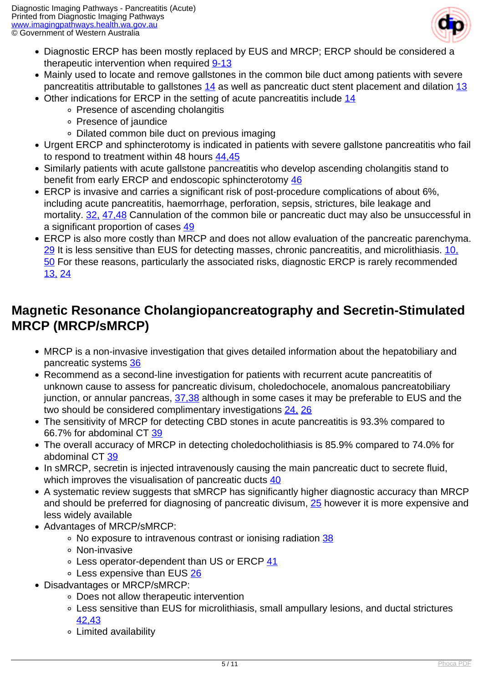

- Diagnostic ERCP has been mostly replaced by EUS and MRCP; ERCP should be considered a therapeutic intervention when required [9-13](index.php?option=com_content&view=article&id=53&tab=references#9)
- Mainly used to locate and remove gallstones in the common bile duct among patients with severe pancreatitis attributable to gallstones [14](index.php?option=com_content&view=article&id=53&tab=references#14) as well as pancreatic duct stent placement and dilation [13](index.php?option=com_content&view=article&id=53&tab=references#13)
- Other indications for ERCP in the setting of acute pancreatitis include [14](index.php?option=com_content&view=article&id=53&tab=references#14)
	- Presence of ascending cholangitis
	- Presence of jaundice
	- Dilated common bile duct on previous imaging
- Urgent ERCP and sphincterotomy is indicated in patients with severe gallstone pancreatitis who fail to respond to treatment within 48 hours [44,45](index.php?option=com_content&view=article&id=53&tab=references#44)
- Similarly patients with acute gallstone pancreatitis who develop ascending cholangitis stand to benefit from early ERCP and endoscopic sphincterotomy [46](index.php?option=com_content&view=article&id=53&tab=referencs#46)
- ERCP is invasive and carries a significant risk of post-procedure complications of about 6%, including acute pancreatitis, haemorrhage, perforation, sepsis, strictures, bile leakage and mortality. [32,](index.php?option=com_content&view=article&id=53&tab=references#32) [47,48](index.php?option=com_content&view=article&id=53&tab=references#47) Cannulation of the common bile or pancreatic duct may also be unsuccessful in a significant proportion of cases [49](index.php?option=com_content&view=article&id=53&tab=references#49)
- ERCP is also more costly than MRCP and does not allow evaluation of the pancreatic parenchyma. [29](index.php?option=com_content&view=article&id=53&tab=references#29) It is less sensitive than EUS for detecting masses, chronic pancreatitis, and microlithiasis. [10,](index.php?option=com_content&view=article&id=53&tab=references#10) 50 For these reasons, particularly the associated risks, diagnostic ERCP is rarely recommended [13,](index.php?option=com_content&view=article&id=53&tab=references#13) [24](index.php?option=com_content&view=article&id=53&tab=references#24)

### **Magnetic Resonance Cholangiopancreatography and Secretin-Stimulated MRCP (MRCP/sMRCP)**

- MRCP is a non-invasive investigation that gives detailed information about the hepatobiliary and pancreatic systems [36](index.php?option=com_content&view=article&id=53&tab=references#36)
- Recommend as a second-line investigation for patients with recurrent acute pancreatitis of unknown cause to assess for pancreatic divisum, choledochocele, anomalous pancreatobiliary junction, or annular pancreas,  $\frac{37,38}{31}$  although in some cases it may be preferable to EUS and the two should be considered complimentary investigations [24,](index.php?option=com_content&view=article&id=53&tab=references#24) [26](index.php?option=com_content&view=article&id=53&tab=references#26)
- The sensitivity of MRCP for detecting CBD stones in acute pancreatitis is 93.3% compared to 66.7% for abdominal CT [39](index.php?option=com_content&view=article&id=53&tab=references#39)
- The overall accuracy of MRCP in detecting choledocholithiasis is 85.9% compared to 74.0% for abdominal CT [39](index.php?option=com_content&view=article&id=53&tab=references#39)
- In sMRCP, secretin is injected intravenously causing the main pancreatic duct to secrete fluid, which improves the visualisation of pancreatic ducts [40](index.php?option=com_content&view=article&id=53&tab=references#40)
- A systematic review suggests that sMRCP has significantly higher diagnostic accuracy than MRCP and should be preferred for diagnosing of pancreatic divisum, [25](index.php?option=com_content&view=article&id=53&tab=references#25) however it is more expensive and less widely available
- Advantages of MRCP/sMRCP:
	- No exposure to intravenous contrast or ionising radiation [38](index.php?option=com_content&view=article&id=53&tab=references#38)
	- Non-invasive
	- $\circ$  Less operator-dependent than US or ERCP [41](index.php?option=com_content&view=article&id=53&tab=references#41)
	- Less expensive than EUS [26](index.php?option=com_content&view=article&id=53&tab=references#26)
- Disadvantages or MRCP/sMRCP:
	- Does not allow therapeutic intervention
	- Less sensitive than EUS for microlithiasis, small ampullary lesions, and ductal strictures [42,43](index.php?option=com_content&view=article&id=53&tab=references#42)
	- Limited availability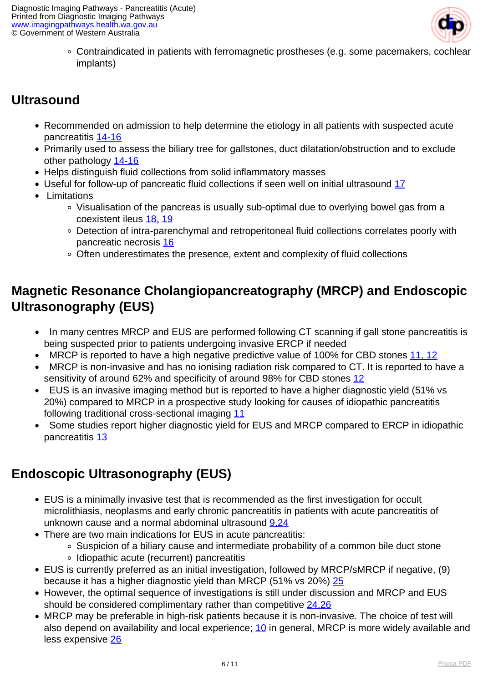

Contraindicated in patients with ferromagnetic prostheses (e.g. some pacemakers, cochlear implants)

# **Ultrasound**

- Recommended on admission to help determine the etiology in all patients with suspected acute pancreatitis [14-16](index.php?option=com_content&view=article&id=53&tab=references#14)
- Primarily used to assess the biliary tree for gallstones, duct dilatation/obstruction and to exclude other pathology [14-16](index.php?option=com_content&view=article&id=53&tab=references#14)
- Helps distinguish fluid collections from solid inflammatory masses
- Useful for follow-up of pancreatic fluid collections if seen well on initial ultrasound [17](index.php?option=com_content&view=article&id=53&tab=references#17)
- Limitations
	- Visualisation of the pancreas is usually sub-optimal due to overlying bowel gas from a coexistent ileus [18, 19](index.php?option=com_content&view=article&id=53&tab=references#18)
	- Detection of intra-parenchymal and retroperitoneal fluid collections correlates poorly with pancreatic necrosis [16](index.php?option=com_content&view=article&id=53&tab=references#16)
	- Often underestimates the presence, extent and complexity of fluid collections

### **Magnetic Resonance Cholangiopancreatography (MRCP) and Endoscopic Ultrasonography (EUS)**

- In many centres MRCP and EUS are performed following CT scanning if gall stone pancreatitis is being suspected prior to patients undergoing invasive ERCP if needed
- MRCP is reported to have a high negative predictive value of 100% for CBD stones [11, 12](index.php?option=com_content&view=article&id=53&tab=references#11)
- MRCP is non-invasive and has no ionising radiation risk compared to CT. It is reported to have a sensitivity of around 62% and specificity of around 98% for CBD stones [12](index.php?option=com_content&view=article&id=53&tab=references#12)
- EUS is an invasive imaging method but is reported to have a higher diagnostic yield (51% vs 20%) compared to MRCP in a prospective study looking for causes of idiopathic pancreatitis following traditional cross-sectional imaging [11](index.php?option=com_content&view=article&id=53&tab=references#11)
- Some studies report higher diagnostic yield for EUS and MRCP compared to ERCP in idiopathic pancreatitis [13](index.php?option=com_content&view=article&id=53&tab=references#13)

# **Endoscopic Ultrasonography (EUS)**

- EUS is a minimally invasive test that is recommended as the first investigation for occult microlithiasis, neoplasms and early chronic pancreatitis in patients with acute pancreatitis of unknown cause and a normal abdominal ultrasound [9,](index.php?option=com_content&view=article&id=53&tab=references#9)[24](index.php?option=com_content&view=article&id=53&tab=references#24)
- There are two main indications for EUS in acute pancreatitis:
	- Suspicion of a biliary cause and intermediate probability of a common bile duct stone
	- Idiopathic acute (recurrent) pancreatitis
- EUS is currently preferred as an initial investigation, followed by MRCP/sMRCP if negative, (9) because it has a higher diagnostic yield than MRCP (51% vs 20%) [25](index.php?option=com_content&view=article&id=53&tab=references#25)
- However, the optimal sequence of investigations is still under discussion and MRCP and EUS should be considered complimentary rather than competitive [24,](index.php?option=com_content&view=article&id=53&tab=references#24)[26](index.php?option=com_content&view=article&id=53&tab=references#26)
- MRCP may be preferable in high-risk patients because it is non-invasive. The choice of test will also depend on availability and local experience; [10](index.php?option=com_content&view=article&id=53&tab=references#10) in general, MRCP is more widely available and less expensive [26](index.php?option=com_content&view=article&id=53&tab=references#26)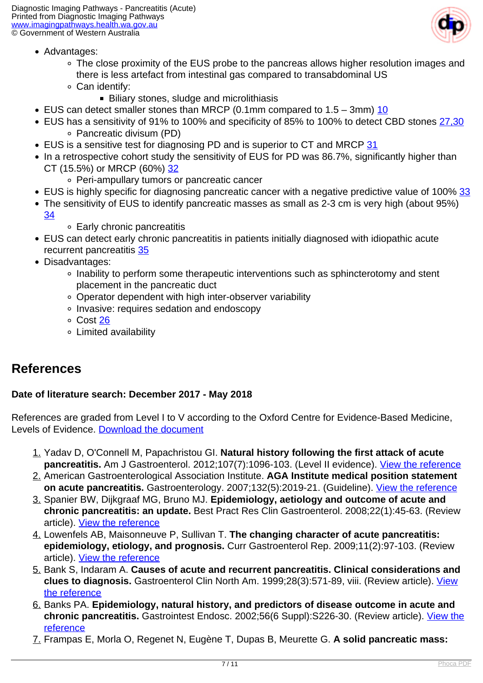

- Advantages:
	- The close proximity of the EUS probe to the pancreas allows higher resolution images and there is less artefact from intestinal gas compared to transabdominal US
	- Can identify:
		- **Biliary stones, sludge and microlithiasis**
- EUS can detect smaller stones than MRCP (0.1mm compared to  $1.5 3$ mm)  $\overline{10}$
- EUS has a sensitivity of 91% to 100% and specificity of 85% to 100% to detect CBD stones [27,](index.php?option=com_content&view=article&id=53&tab=references#27)[30](index.php?option=com_content&view=article&id=53&tab=references#30) Pancreatic divisum (PD)
- EUS is a sensitive test for diagnosing PD and is superior to CT and MRCP [31](index.php?option=com_content&view=article&id=53&tab=references#31)
- In a retrospective cohort study the sensitivity of EUS for PD was 86.7%, significantly higher than CT (15.5%) or MRCP (60%) [32](index.php?option=com_content&view=article&id=53&tab=references#32)
	- Peri-ampullary tumors or pancreatic cancer
- EUS is highly specific for diagnosing pancreatic cancer with a negative predictive value of 100% [33](index.php?option=com_content&view=article&id=53&tab=references#33)
- The sensitivity of EUS to identify pancreatic masses as small as 2-3 cm is very high (about 95%) [34](index.php?option=com_content&view=article&id=53&tab=references#34)
	- Early chronic pancreatitis
- EUS can detect early chronic pancreatitis in patients initially diagnosed with idiopathic acute recurrent pancreatitis [35](index.php?option=com_content&view=article&id=53&tab=references#35)
- Disadvantages:
	- Inability to perform some therapeutic interventions such as sphincterotomy and stent placement in the pancreatic duct
	- Operator dependent with high inter-observer variability
	- Invasive: requires sedation and endoscopy
	- Cost [26](index.php?option=com_content&view=article&id=53&tab=references#26)
	- Limited availability

#### **References**

#### **Date of literature search: December 2017 - May 2018**

References are graded from Level I to V according to the Oxford Centre for Evidence-Based Medicine, Levels of Evidence. [Download the document](http://www.cebm.net/wp-content/uploads/2014/06/CEBM-Levels-of-Evidence-2.1.pdf)

- 1. Yadav D, O'Connell M, Papachristou GI. **Natural history following the first attack of acute** pancreatitis. Am J Gastroenterol. 2012;107(7):1096-103. (Level II evidence). [View the reference](https://www.ncbi.nlm.nih.gov/pubmed/22613906)
- 2. American Gastroenterological Association Institute. **AGA Institute medical position statement on acute pancreatitis.** Gastroenterology. 2007;132(5):2019-21. (Guideline). [View the reference](https://www.ncbi.nlm.nih.gov/pubmed/17484893)
- 3. Spanier BW, Dijkgraaf MG, Bruno MJ. **Epidemiology, aetiology and outcome of acute and chronic pancreatitis: an update.** Best Pract Res Clin Gastroenterol. 2008;22(1):45-63. (Review article). [View the reference](https://www.ncbi.nlm.nih.gov/pubmed/18206812)
- 4. Lowenfels AB, Maisonneuve P, Sullivan T. **The changing character of acute pancreatitis: epidemiology, etiology, and prognosis.** Curr Gastroenterol Rep. 2009;11(2):97-103. (Review article). [View the reference](https://www.ncbi.nlm.nih.gov/pubmed/19281696)
- 5. Bank S, Indaram A. **Causes of acute and recurrent pancreatitis. Clinical considerations and clues to diagnosis.** Gastroenterol Clin North Am. 1999;28(3):571-89, viii. (Review article). [View](https://www.ncbi.nlm.nih.gov/pubmed/10503137) [the reference](https://www.ncbi.nlm.nih.gov/pubmed/10503137)
- 6. Banks PA. **Epidemiology, natural history, and predictors of disease outcome in acute and chronic pancreatitis.** Gastrointest Endosc. 2002;56(6 Suppl):S226-30. (Review article). [View the](https://www.ncbi.nlm.nih.gov/pubmed/12447272) [reference](https://www.ncbi.nlm.nih.gov/pubmed/12447272)
- 7. Frampas E, Morla O, Regenet N, Eugène T, Dupas B, Meurette G. **A solid pancreatic mass:**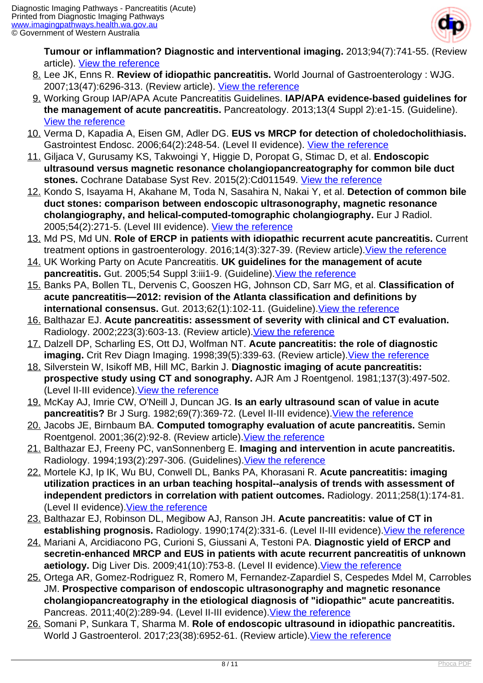

**Tumour or inflammation? Diagnostic and interventional imaging.** 2013;94(7):741-55. (Review article). [View the reference](http://www.sciencedirect.com/science/article/pii/S2211568413000958)

- 8. Lee JK, Enns R. **Review of idiopathic pancreatitis.** World Journal of Gastroenterology : WJG. 2007;13(47):6296-313. (Review article). [View the reference](http://www.ncbi.nlm.nih.gov/pmc/articles/PMC4205447/)
- 9. Working Group IAP/APA Acute Pancreatitis Guidelines. **IAP/APA evidence-based guidelines for the management of acute pancreatitis.** Pancreatology. 2013;13(4 Suppl 2):e1-15. (Guideline). [View the reference](https://www.ncbi.nlm.nih.gov/pubmed/24054878)
- 10. Verma D, Kapadia A, Eisen GM, Adler DG. **EUS vs MRCP for detection of choledocholithiasis.** Gastrointest Endosc. 2006;64(2):248-54. (Level II evidence). [View the reference](https://www.ncbi.nlm.nih.gov/pubmed/16860077)
- 11. Giljaca V, Gurusamy KS, Takwoingi Y, Higgie D, Poropat G, Stimac D, et al. **Endoscopic ultrasound versus magnetic resonance cholangiopancreatography for common bile duct** stones. Cochrane Database Syst Rev. 2015(2):Cd011549. [View the reference](https://www.ncbi.nlm.nih.gov/pubmed/25719224)
- 12. Kondo S, Isayama H, Akahane M, Toda N, Sasahira N, Nakai Y, et al. **Detection of common bile duct stones: comparison between endoscopic ultrasonography, magnetic resonance cholangiography, and helical-computed-tomographic cholangiography.** Eur J Radiol. 2005;54(2):271-5. (Level III evidence). [View the reference](https://www.ncbi.nlm.nih.gov/pubmed/15837409)
- 13. Md PS, Md UN. **Role of ERCP in patients with idiopathic recurrent acute pancreatitis.** Current treatment options in gastroenterology. 2016;14(3):327-39. (Review article)[.View the reference](https://www.ncbi.nlm.nih.gov/pubmed/27371265)
- 14. UK Working Party on Acute Pancreatitis. **UK guidelines for the management of acute pancreatitis.** Gut. 2005;54 Suppl 3:iii1-9. (Guideline). View the reference
- 15. Banks PA, Bollen TL, Dervenis C, Gooszen HG, Johnson CD, Sarr MG, et al. **Classification of acute pancreatitis—2012: revision of the Atlanta classification and definitions by international consensus.** Gut. 2013;62(1):102-11. (Guideline)[.View the reference](http://gut.bmj.com/content/gutjnl/62/1/102.full.pdf)
- 16. Balthazar EJ. **Acute pancreatitis: assessment of severity with clinical and CT evaluation.** Radiology. 2002;223(3):603-13. (Review article). View the reference
- 17. Dalzell DP, Scharling ES, Ott DJ, Wolfman NT. **Acute pancreatitis: the role of diagnostic imaging.** Crit Rev Diagn Imaging. 1998;39(5):339-63. (Review article). [View the reference](https://www.ncbi.nlm.nih.gov/pubmed/9791748)
- 18. Silverstein W, Isikoff MB, Hill MC, Barkin J. **Diagnostic imaging of acute pancreatitis: prospective study using CT and sonography.** AJR Am J Roentgenol. 1981;137(3):497-502. (Level II-III evidence). [View the reference](https://www.ncbi.nlm.nih.gov/pubmed/7025598)
- 19. McKay AJ, Imrie CW, O'Neill J, Duncan JG. **Is an early ultrasound scan of value in acute pancreatitis?** Br J Surg. 1982;69(7):369-72. (Level II-III evidence).[View the reference](https://www.ncbi.nlm.nih.gov/pubmed/7104603)
- 20. Jacobs JE, Birnbaum BA. **Computed tomography evaluation of acute pancreatitis.** Semin Roentgenol. 2001;36(2):92-8. (Review article). View the reference
- 21. Balthazar EJ, Freeny PC, vanSonnenberg E. **Imaging and intervention in acute pancreatitis.** Radiology. 1994;193(2):297-306. (Guidelines).[View the reference](https://www.ncbi.nlm.nih.gov/pubmed/7972730)
- 22. Mortele KJ, Ip IK, Wu BU, Conwell DL, Banks PA, Khorasani R. **Acute pancreatitis: imaging utilization practices in an urban teaching hospital--analysis of trends with assessment of independent predictors in correlation with patient outcomes.** Radiology. 2011;258(1):174-81. (Level II evidence). [View the reference](https://www.ncbi.nlm.nih.gov/pubmed/20980450)
- 23. Balthazar EJ, Robinson DL, Megibow AJ, Ranson JH. **Acute pancreatitis: value of CT in establishing prognosis.** Radiology. 1990;174(2):331-6. (Level II-III evidence)[.View the reference](https://www.ncbi.nlm.nih.gov/pubmed/2296641)
- 24. Mariani A, Arcidiacono PG, Curioni S, Giussani A, Testoni PA. **Diagnostic yield of ERCP and secretin-enhanced MRCP and EUS in patients with acute recurrent pancreatitis of unknown** aetiology. Dig Liver Dis. 2009;41(10):753-8. (Level II evidence). View the reference
- 25. Ortega AR, Gomez-Rodriguez R, Romero M, Fernandez-Zapardiel S, Cespedes Mdel M, Carrobles JM. **Prospective comparison of endoscopic ultrasonography and magnetic resonance cholangiopancreatography in the etiological diagnosis of "idiopathic" acute pancreatitis.** Pancreas. 2011;40(2):289-94. (Level II-III evidence). View the reference
- 26. Somani P, Sunkara T, Sharma M. **Role of endoscopic ultrasound in idiopathic pancreatitis.** World J Gastroenterol. 2017;23(38):6952-61. (Review article). View the reference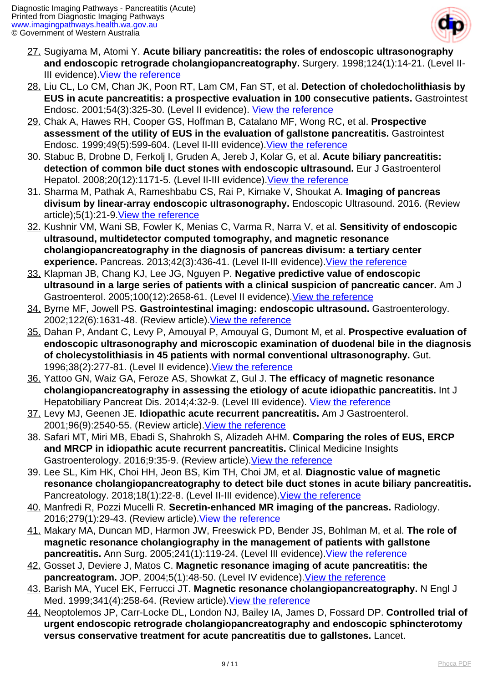

- 27. Sugiyama M, Atomi Y. **Acute biliary pancreatitis: the roles of endoscopic ultrasonography and endoscopic retrograde cholangiopancreatography.** Surgery. 1998;124(1):14-21. (Level II-III evidence). [View the reference](https://www.ncbi.nlm.nih.gov/pubmed/9663246)
- 28. Liu CL, Lo CM, Chan JK, Poon RT, Lam CM, Fan ST, et al. **Detection of choledocholithiasis by EUS in acute pancreatitis: a prospective evaluation in 100 consecutive patients.** Gastrointest Endosc. 2001;54(3):325-30. (Level II evidence). [View the reference](https://www.ncbi.nlm.nih.gov/pubmed/11522972)
- 29. Chak A, Hawes RH, Cooper GS, Hoffman B, Catalano MF, Wong RC, et al. **Prospective assessment of the utility of EUS in the evaluation of gallstone pancreatitis.** Gastrointest Endosc. 1999;49(5):599-604. (Level II-III evidence)[.View the reference](https://www.ncbi.nlm.nih.gov/pubmed/10228258)
- 30. Stabuc B, Drobne D, Ferkolj I, Gruden A, Jereb J, Kolar G, et al. **Acute biliary pancreatitis: detection of common bile duct stones with endoscopic ultrasound.** Eur J Gastroenterol Hepatol. 2008;20(12):1171-5. (Level II-III evidence). [View the reference](https://www.ncbi.nlm.nih.gov/pubmed/18989141)
- 31. Sharma M, Pathak A, Rameshbabu CS, Rai P, Kirnake V, Shoukat A. **Imaging of pancreas divisum by linear-array endoscopic ultrasonography.** Endoscopic Ultrasound. 2016. (Review article);5(1):21-9.[View the reference](http://www.ncbi.nlm.nih.gov/pmc/articles/PMC4770618/)
- 32. Kushnir VM, Wani SB, Fowler K, Menias C, Varma R, Narra V, et al. **Sensitivity of endoscopic ultrasound, multidetector computed tomography, and magnetic resonance cholangiopancreatography in the diagnosis of pancreas divisum: a tertiary center experience.** Pancreas. 2013;42(3):436-41. (Level II-III evidence).[View the reference](https://www.ncbi.nlm.nih.gov/pubmed/23211370)
- 33. Klapman JB, Chang KJ, Lee JG, Nguyen P. **Negative predictive value of endoscopic ultrasound in a large series of patients with a clinical suspicion of pancreatic cancer.** Am J Gastroenterol. 2005;100(12):2658-61. (Level II evidence). View the reference
- 34. Byrne MF, Jowell PS. **Gastrointestinal imaging: endoscopic ultrasound.** Gastroenterology. 2002;122(6):1631-48. (Review article).[View the reference](https://www.ncbi.nlm.nih.gov/pubmed/12016428)
- 35. Dahan P, Andant C, Levy P, Amouyal P, Amouyal G, Dumont M, et al. **Prospective evaluation of endoscopic ultrasonography and microscopic examination of duodenal bile in the diagnosis of cholecystolithiasis in 45 patients with normal conventional ultrasonography.** Gut. 1996;38(2):277-81. (Level II evidence). [View the reference](https://www.ncbi.nlm.nih.gov/pubmed/8801211)
- 36. Yattoo GN, Waiz GA, Feroze AS, Showkat Z, Gul J. **The efficacy of magnetic resonance cholangiopancreatography in assessing the etiology of acute idiopathic pancreatitis.** Int J Hepatobiliary Pancreat Dis. 2014;4:32-9. (Level III evidence). [View the reference](http://www.ijhpd.com/archive/2014-archive/100018IJHPDGN2014-yattoo/index.php)
- 37. Levy MJ, Geenen JE. **Idiopathic acute recurrent pancreatitis.** Am J Gastroenterol. 2001;96(9):2540-55. (Review article)[.View the reference](https://www.ncbi.nlm.nih.gov/pubmed/11569674)
- 38. Safari MT, Miri MB, Ebadi S, Shahrokh S, Alizadeh AHM. **Comparing the roles of EUS, ERCP and MRCP in idiopathic acute recurrent pancreatitis.** Clinical Medicine Insights Gastroenterology. 2016;9:35-9. (Review article).[View the reference](http://www.ncbi.nlm.nih.gov/pmc/articles/PMC4915784/)
- 39. Lee SL, Kim HK, Choi HH, Jeon BS, Kim TH, Choi JM, et al. **Diagnostic value of magnetic resonance cholangiopancreatography to detect bile duct stones in acute biliary pancreatitis.** Pancreatology. 2018;18(1):22-8. (Level II-III evidence)[.View the reference](https://www.ncbi.nlm.nih.gov/pubmed/29246689)
- 40. Manfredi R, Pozzi Mucelli R. **Secretin-enhanced MR imaging of the pancreas.** Radiology. 2016;279(1):29-43. (Review article).[View the reference](https://www.ncbi.nlm.nih.gov/pubmed/26989929)
- 41. Makary MA, Duncan MD, Harmon JW, Freeswick PD, Bender JS, Bohlman M, et al. **The role of magnetic resonance cholangiography in the management of patients with gallstone pancreatitis.** Ann Surg. 2005;241(1):119-24. (Level III evidence). [View the reference](https://www.ncbi.nlm.nih.gov/pubmed/15621999)
- 42. Gosset J, Deviere J, Matos C. **Magnetic resonance imaging of acute pancreatitis: the pancreatogram.** JOP. 2004;5(1):48-50. (Level IV evidence).[View the reference](https://www.ncbi.nlm.nih.gov/pubmed/14730123)
- 43. Barish MA, Yucel EK, Ferrucci JT. **Magnetic resonance cholangiopancreatography.** N Engl J Med. 1999;341(4):258-64. (Review article). View the reference
- 44. Neoptolemos JP, Carr-Locke DL, London NJ, Bailey IA, James D, Fossard DP. **Controlled trial of urgent endoscopic retrograde cholangiopancreatography and endoscopic sphincterotomy versus conservative treatment for acute pancreatitis due to gallstones.** Lancet.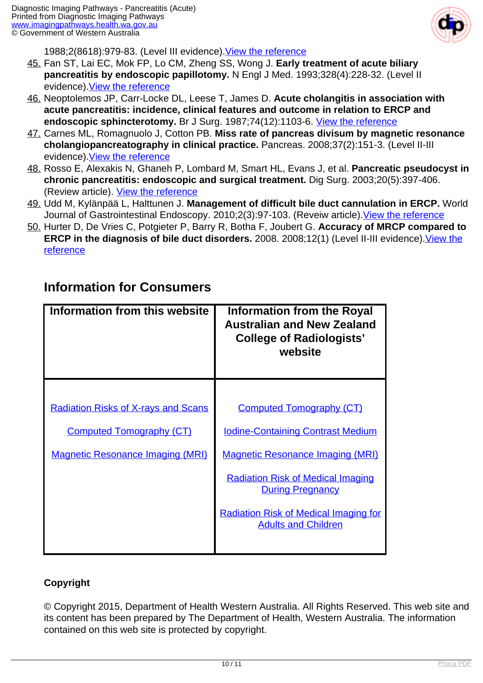

1988:2(8618):979-83. (Level III evidence). [View the reference](https://www.ncbi.nlm.nih.gov/pubmed/2902491)

- 45. Fan ST, Lai EC, Mok FP, Lo CM, Zheng SS, Wong J. **Early treatment of acute biliary pancreatitis by endoscopic papillotomy.** N Engl J Med. 1993;328(4):228-32. (Level II evidence). [View the reference](https://www.ncbi.nlm.nih.gov/pubmed/8418402)
- 46. Neoptolemos JP, Carr-Locke DL, Leese T, James D. **Acute cholangitis in association with acute pancreatitis: incidence, clinical features and outcome in relation to ERCP and endoscopic sphincterotomy.** Br J Surg. 1987;74(12):1103-6. [View the reference](https://www.ncbi.nlm.nih.gov/pubmed/3427354)
- 47. Carnes ML, Romagnuolo J, Cotton PB. **Miss rate of pancreas divisum by magnetic resonance cholangiopancreatography in clinical practice.** Pancreas. 2008;37(2):151-3. (Level II-III evidence). [View the reference](https://www.ncbi.nlm.nih.gov/pubmed/18665075)
- 48. Rosso E, Alexakis N, Ghaneh P, Lombard M, Smart HL, Evans J, et al. **Pancreatic pseudocyst in chronic pancreatitis: endoscopic and surgical treatment.** Dig Surg. 2003;20(5):397-406. (Review article). [View the reference](https://www.ncbi.nlm.nih.gov/pubmed/12900529)
- 49. Udd M, Kylänpää L, Halttunen J. **Management of difficult bile duct cannulation in ERCP.** World Journal of Gastrointestinal Endoscopy. 2010;2(3):97-103. (Reveiw article). [View the reference](http://www.ncbi.nlm.nih.gov/pmc/articles/PMC2999064/)
- 50. Hurter D, De Vries C, Potgieter P, Barry R, Botha F, Joubert G. **Accuracy of MRCP compared to ERCP in the diagnosis of bile duct disorders.** 2008. 2008;12(1) (Level II-III evidence)[.View the](https://sajr.org.za/index.php/sajr/article/view/580) **[reference](https://sajr.org.za/index.php/sajr/article/view/580)**

| Information from this website              | <b>Information from the Royal</b><br><b>Australian and New Zealand</b><br><b>College of Radiologists'</b><br>website |
|--------------------------------------------|----------------------------------------------------------------------------------------------------------------------|
|                                            |                                                                                                                      |
| <b>Radiation Risks of X-rays and Scans</b> | <b>Computed Tomography (CT)</b>                                                                                      |
| <b>Computed Tomography (CT)</b>            | <b>Iodine-Containing Contrast Medium</b>                                                                             |
| <b>Magnetic Resonance Imaging (MRI)</b>    | <b>Magnetic Resonance Imaging (MRI)</b>                                                                              |
|                                            | <b>Radiation Risk of Medical Imaging</b><br><b>During Pregnancy</b>                                                  |
|                                            | <b>Radiation Risk of Medical Imaging for</b><br><b>Adults and Children</b>                                           |
|                                            |                                                                                                                      |

#### **Information for Consumers**

#### **Copyright**

© Copyright 2015, Department of Health Western Australia. All Rights Reserved. This web site and its content has been prepared by The Department of Health, Western Australia. The information contained on this web site is protected by copyright.